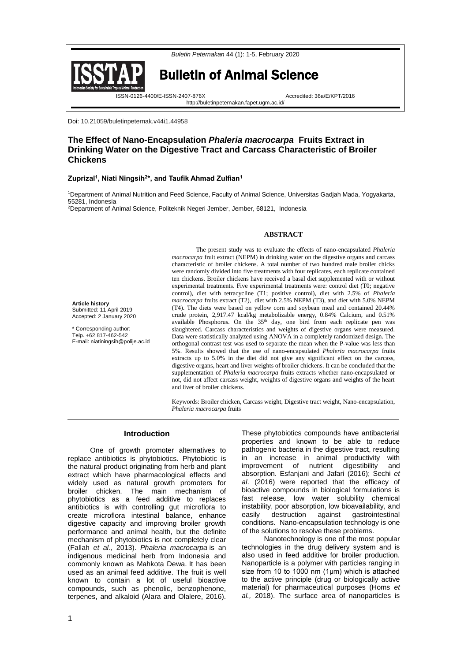

http://buletinpeternakan.fapet.ugm.ac.id/



**Article history** Submitted: 11 April 2019 Accepted: 2 January 2020 \* Corresponding author: Telp. +62 817-462-542 E-mail: niatiningsih@polije.ac.id Bulletin of Animal Science

ISSN-0126-4400/E-ISSN-2407-876X Accredited: 36a/E/KPT/2016

Doi: 10.21059/buletinpeternak.v44i1.44958

# **The Effect of Nano-Encapsulation** *Phaleria macrocarpa* **Fruits Extract in Drinking Water on the Digestive Tract and Carcass Characteristic of Broiler Chickens**

### **Zuprizal<sup>1</sup> , Niati Ningsih<sup>2</sup> \*, and Taufik Ahmad Zulfian<sup>1</sup>**

<sup>1</sup>Department of Animal Nutrition and Feed Science, Faculty of Animal Science, Universitas Gadjah Mada, Yogyakarta, 55281, Indonesia

<sup>2</sup>Department of Animal Science, Politeknik Negeri Jember, Jember, 68121, Indonesia

### **ABSTRACT**

The present study was to evaluate the effects of nano-encapsulated *Phaleria macrocarpa* fruit extract (NEPM) in drinking water on the digestive organs and carcass characteristic of broiler chickens. A total number of two hundred male broiler chicks were randomly divided into five treatments with four replicates, each replicate contained ten chickens. Broiler chickens have received a basal diet supplemented with or without experimental treatments. Five experimental treatments were: control diet (T0; negative control), diet with tetracycline (T1; positive control), diet with 2.5% of *Phaleria macrocarpa* fruits extract (T2), diet with 2.5% NEPM (T3), and diet with 5.0% NEPM (T4). The diets were based on yellow corn and soybean meal and contained 20.44% crude protein, 2,917.47 kcal/kg metabolizable energy, 0.84% Calcium, and 0.51% available Phosphorus. On the  $35<sup>th</sup>$  day, one bird from each replicate pen was slaughtered. Carcass characteristics and weights of digestive organs were measured. Data were statistically analyzed using ANOVA in a completely randomized design. The orthogonal contrast test was used to separate the mean when the P-value was less than 5%. Results showed that the use of nano-encapsulated *Phaleria macrocarpa* fruits extracts up to 5.0% in the diet did not give any significant effect on the carcass, digestive organs, heart and liver weights of broiler chickens. It can be concluded that the supplementation of *Phaleria macrocarpa* fruits extracts whether nano-encapsulated or not, did not affect carcass weight, weights of digestive organs and weights of the heart and liver of broiler chickens.

Keywords: Broiler chicken, Carcass weight, Digestive tract weight, Nano-encapsulation, *Phaleria macrocarpa* fruits

### **Introduction**

One of growth promoter alternatives to replace antibiotics is phytobiotics. Phytobiotic is the natural product originating from herb and plant extract which have pharmacological effects and widely used as natural growth promoters for broiler chicken. The main mechanism of phytobiotics as a feed additive to replaces antibiotics is with controlling gut microflora to create microflora intestinal balance, enhance digestive capacity and improving broiler growth performance and animal health, but the definite mechanism of phytobiotics is not completely clear (Fallah *et al.,* 2013). *Phaleria macrocarpa* is an indigenous medicinal herb from Indonesia and commonly known as Mahkota Dewa. It has been used as an animal feed additive. The fruit is well known to contain a lot of useful bioactive compounds, such as phenolic, benzophenone, terpenes, and alkaloid (Alara and Olalere, 2016).

These phytobiotics compounds have antibacterial properties and known to be able to reduce pathogenic bacteria in the digestive tract, resulting in an increase in animal productivity with improvement of nutrient digestibility and absorption. Esfanjani and Jafari (2016); Sechi *et al*. (2016) were reported that the efficacy of bioactive compounds in biological formulations is fast release, low water solubility chemical instability, poor absorption, low bioavailability, and easily destruction against gastrointestinal conditions. Nano-encapsulation technology is one of the solutions to resolve these problems.

Nanotechnology is one of the most popular technologies in the drug delivery system and is also used in feed additive for broiler production. Nanoparticle is a polymer with particles ranging in size from 10 to 1000 nm (1μm) which is attached to the active principle (drug or biologically active material) for pharmaceutical purposes (Homs *et al.,* 2018). The surface area of nanoparticles is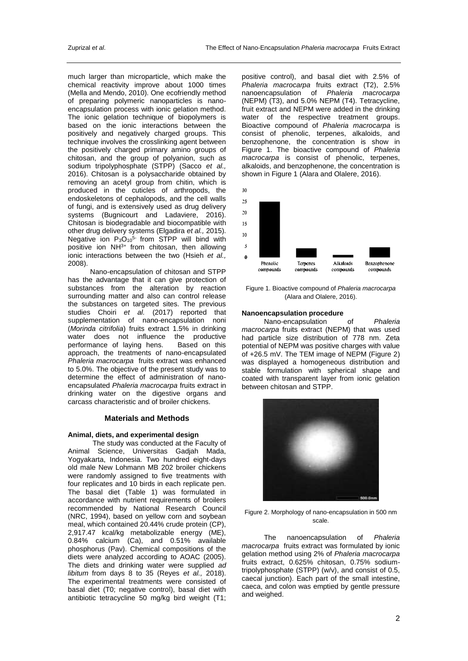much larger than microparticle, which make the chemical reactivity improve about 1000 times (Mella and Mendo, 2010). One ecofriendly method of preparing polymeric nanoparticles is nanoencapsulation process with ionic gelation method. The ionic gelation technique of biopolymers is based on the ionic interactions between the positively and negatively charged groups. This technique involves the crosslinking agent between the positively charged primary amino groups of chitosan, and the group of polyanion, such as sodium tripolyphosphate (STPP) (Sacco *et al.,* 2016). Chitosan is a polysaccharide obtained by removing an acetyl group from chitin, which is produced in the cuticles of arthropods, the endoskeletons of cephalopods, and the cell walls of fungi, and is extensively used as drug delivery systems (Bugnicourt and Ladaviere, 2016). Chitosan is biodegradable and biocompatible with other drug delivery systems (Elgadira *et al.,* 2015). Negative ion  $P_3O_{10}^{5-}$  from STPP will bind with positive ion NH3+ from chitosan, then allowing ionic interactions between the two (Hsieh *et al.,* 2008).

Nano-encapsulation of chitosan and STPP has the advantage that it can give protection of substances from the alteration by reaction surrounding matter and also can control release the substances on targeted sites. The previous studies Choiri *et al.* (2017) reported that supplementation of nano-encapsulation noni (*Morinda citrifolia*) fruits extract 1.5% in drinking water does not influence the productive<br>performance of laving hens. Based on this performance of laying hens. approach, the treatments of nano-encapsulated *Phaleria macrocarpa* fruits extract was enhanced to 5.0%. The objective of the present study was to determine the effect of administration of nanoencapsulated *Phaleria macrocarpa* fruits extract in drinking water on the digestive organs and carcass characteristic and of broiler chickens.

### **Materials and Methods**

### **Animal, diets, and experimental design**

The study was conducted at the Faculty of Animal Science, Universitas Gadjah Mada, Yogyakarta, Indonesia. Two hundred eight-days old male New Lohmann MB 202 broiler chickens were randomly assigned to five treatments with four replicates and 10 birds in each replicate pen. The basal diet (Table 1) was formulated in accordance with nutrient requirements of broilers recommended by National Research Council (NRC, 1994), based on yellow corn and soybean meal, which contained 20.44% crude protein (CP), 2,917.47 kcal/kg metabolizable energy (ME), 0.84% calcium (Ca), and 0.51% available phosphorus (Pav). Chemical compositions of the diets were analyzed according to AOAC (2005). The diets and drinking water were supplied *ad libitum* from days 8 to 35 (Reyes *et al.,* 2018). The experimental treatments were consisted of basal diet (T0; negative control), basal diet with antibiotic tetracycline 50 mg/kg bird weight (T1;

positive control), and basal diet with 2.5% of *Phaleria macrocarpa* fruits extract (T2), 2.5% nanoencapsulation of *Phaleria macrocarpa* (NEPM) (T3), and 5.0% NEPM (T4). Tetracycline, fruit extract and NEPM were added in the drinking water of the respective treatment groups. Bioactive compound of *Phaleria macrocarpa* is consist of phenolic, terpenes, alkaloids, and benzophenone, the concentration is show in Figure 1. The bioactive compound of *Phaleria macrocarpa* is consist of phenolic, terpenes, alkaloids, and benzophenone, the concentration is shown in Figure 1 (Alara and Olalere, 2016).



Figure 1. Bioactive compound of *Phaleria macrocarpa* (Alara and Olalere, 2016).

## **Nanoencapsulation procedure**

Nano-encapsulation of *Phaleria macrocarpa* fruits extract (NEPM) that was used had particle size distribution of 778 nm. Zeta potential of NEPM was positive charges with value of +26.5 mV. The TEM image of NEPM (Figure 2) was displayed a homogeneous distribution and stable formulation with spherical shape and coated with transparent layer from ionic gelation between chitosan and STPP.



Figure 2. Morphology of nano-encapsulation in 500 nm scale.

The nanoencapsulation of *Phaleria macrocarpa* fruits extract was formulated by ionic gelation method using 2% of *Phaleria macrocarpa* fruits extract, 0.625% chitosan, 0.75% sodiumtripolyphosphate (STPP) (w/v), and consist of 0.5, caecal junction). Each part of the small intestine, caeca, and colon was emptied by gentle pressure and weighed.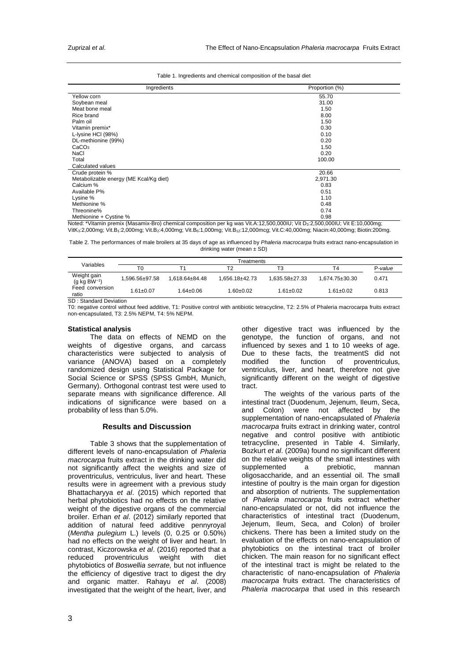|  | Table 1. Ingredients and chemical composition of the basal diet |  |  |
|--|-----------------------------------------------------------------|--|--|
|  |                                                                 |  |  |

| Ingredients                            | Proportion (%) |
|----------------------------------------|----------------|
| Yellow corn                            | 55.70          |
| Soybean meal                           | 31.00          |
| Meat bone meal                         | 1.50           |
| Rice brand                             | 8.00           |
| Palm oil                               | 1.50           |
| Vitamin premix*                        | 0.30           |
| L-lysine HCI (98%)                     | 0.10           |
| DL-methionine (99%)                    | 0.20           |
| CaCO <sub>3</sub>                      | 1.50           |
| NaCl                                   | 0.20           |
| Total                                  | 100.00         |
| Calculated values                      |                |
| Crude protein %                        | 20.66          |
| Metabolizable energy (ME Kcal/Kg diet) | 2,971.30       |
| Calcium %                              | 0.83           |
| Available P%                           | 0.51           |
| Lysine %                               | 1.10           |
| Methionine %                           | 0.48           |
| Threonine%                             | 0.74           |
| Methionine + Cystine %                 | 0.98           |

Noted: \*Vitamin premix (Masamix-Bro) chemical composition per kg was Vit.A:12,500,000IU; Vit D3:2,500,000IU; Vit E:10,000mg; VitK3:2,000mg; Vit.B1:2,000mg; Vit.B2:4,000mg; Vit.B6:1,000mg; Vit.B12:12,000mcg; Vit.C:40,000mg; Niacin:40,000mg; Biotin:200mg.

Table 2. The performances of male broilers at 35 days of age as influenced by *Phaleria macrocarpa* fruits extract nano-encapsulation in drinking water (mean ± SD)

| Variables                               | Treatments      |                      |                    |                      |                      |         |
|-----------------------------------------|-----------------|----------------------|--------------------|----------------------|----------------------|---------|
|                                         | T0              |                      | Т2                 | T3                   | T4                   | P-value |
| Weight gain<br>$(g \text{ kg BW}^{-1})$ | 1.596.56±97.58  | $1.618.64 \pm 84.48$ | $1.656.18 + 42.73$ | $1.635.58 \pm 27.33$ | $1.674.75 \pm 30.30$ | 0.471   |
| Feed conversion<br>ratio                | $1.61 \pm 0.07$ | $1.64 \pm 0.06$      | 1.60±0.02          | $1.61 \pm 0.02$      | $1.61 \pm 0.02$      | 0.813   |
| SD: Standard Deviation                  |                 |                      |                    |                      |                      |         |

T0: negative control without feed additive, T1: Positive control with antibiotic tetracycline, T2: 2.5% of Phaleria macrocarpa fruits extract non-encapsulated, T3: 2.5% NEPM, T4: 5% NEPM.

#### **Statistical analysis**

The data on effects of NEMD on the weights of digestive organs, and carcass characteristics were subjected to analysis of variance (ANOVA) based on a completely randomized design using Statistical Package for Social Science or SPSS (SPSS GmbH, Munich, Germany). Orthogonal contrast test were used to separate means with significance difference. All indications of significance were based on a probability of less than 5.0%.

### **Results and Discussion**

Table 3 shows that the supplementation of different levels of nano-encapsulation of *Phaleria macrocarpa* fruits extract in the drinking water did not significantly affect the weights and size of proventriculus, ventriculus, liver and heart. These results were in agreement with a previous study Bhattacharyya *et al*. (2015) which reported that herbal phytobiotics had no effects on the relative weight of the digestive organs of the commercial broiler. Erhan *et al*. (2012) similarly reported that addition of natural feed additive pennyroyal (*Mentha pulegium* L.) levels (0, 0.25 or 0.50%) had no effects on the weight of liver and heart. In contrast, Kiczorowska *et al*. (2016) reported that a reduced proventriculus weight with diet phytobiotics of *Boswellia serrate,* but not influence the efficiency of digestive tract to digest the dry and organic matter. Rahayu *et al*. (2008) investigated that the weight of the heart, liver, and

other digestive tract was influenced by the genotype, the function of organs, and not influenced by sexes and 1 to 10 weeks of age. Due to these facts, the treatmentS did not modified the function of proventriculus. modified the function of proventriculus, ventriculus, liver, and heart, therefore not give significantly different on the weight of digestive tract.

The weights of the various parts of the intestinal tract (Duodenum, Jejenum, Ileum, Seca, and Colon) were not affected by the supplementation of nano-encapsulated of *Phaleria macrocarpa* fruits extract in drinking water, control negative and control positive with antibiotic tetracycline, presented in Table 4. Similarly, Bozkurt *et al*. (2009a) found no significant different on the relative weights of the small intestines with<br>supplemented a prebiotic, mannan supplemented a prebiotic, mannan oligosaccharide, and an essential oil. The small intestine of poultry is the main organ for digestion and absorption of nutrients. The supplementation of *Phaleria macrocarpa* fruits extract whether nano-encapsulated or not, did not influence the characteristics of intestinal tract (Duodenum, Jejenum, Ileum, Seca, and Colon) of broiler chickens. There has been a limited study on the evaluation of the effects on nano-encapsulation of phytobiotics on the intestinal tract of broiler chicken. The main reason for no significant effect of the intestinal tract is might be related to the characteristic of nano-encapsulation of *Phaleria macrocarpa* fruits extract. The characteristics of *Phaleria macrocarpa* that used in this research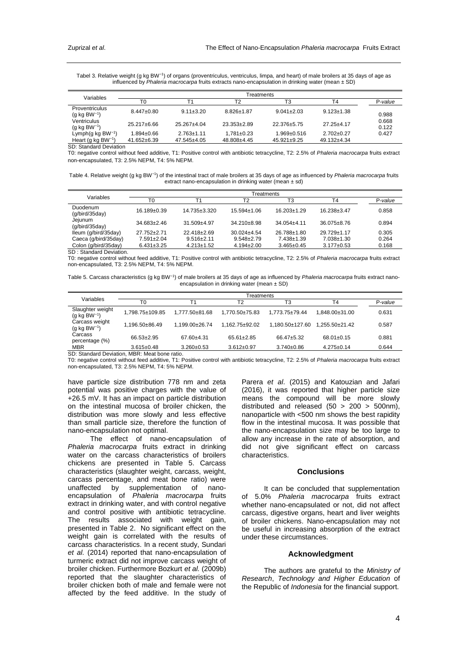Tabel 3. Relative weight (g kg BW<sup>-1</sup>) of organs (proventriculus, ventriculus, limpa, and heart) of male broilers at 35 days of age as influenced by *Phaleria macrocarpa* fruits extracts nano-encapsulation in drinking water (mean ± SD)

| Variables                                                            | Treatments        |                   |                   |                   |                  |                |  |
|----------------------------------------------------------------------|-------------------|-------------------|-------------------|-------------------|------------------|----------------|--|
|                                                                      | T0                | Τ1                | Τ2                | T3                | T4               | P-value        |  |
| <b>Proventriculus</b><br>$(q \text{ kg } BW^{-1})$                   | $8.447 \pm 0.80$  | $9.11 \pm 3.20$   | $8.826 \pm 1.87$  | $9.041 \pm 2.03$  | $9.123 \pm 1.38$ | 0.988          |  |
| Ventriculus<br>$(g \text{ kg BW}^{-1})$                              | $25.217 \pm 6.66$ | $25.267 + 4.04$   | $23.353 \pm 2.89$ | 22.376±5.75       | $27.25 + 4.17$   | 0.668<br>0.122 |  |
| Lymph(g kg $BW^{-1}$ )                                               | 1.894±0.66        | $2.763 + 1.11$    | $1.781 \pm 0.23$  | $1.969 \pm 0.516$ | $2.702+0.27$     | 0.427          |  |
| Heart (g kg BW <sup>-1</sup> )<br>$\sim$ $\sim$ $\sim$ $\sim$ $\sim$ | $41.652 \pm 6.39$ | $47.545 \pm 4.05$ | 48.808±4.45       | $45.921 \pm 9.25$ | 49.132±4.34      |                |  |

SD: Standard Deviation

T0: negative control without feed additive, T1: Positive control with antibiotic tetracycline, T2: 2.5% of *Phaleria macrocarpa* fruits extract non-encapsulated, T3: 2.5% NEPM, T4: 5% NEPM.

Table 4. Relative weight (g kg BW<sup>-1</sup>) of the intestinal tract of male broilers at 35 days of age as influenced by *Phaleria macrocarpa* fruits extract nano-encapsulation in drinking water (mean  $\pm$  sd)

| Variables                  | Treatments        |                  |                   |                   |                   |         |  |
|----------------------------|-------------------|------------------|-------------------|-------------------|-------------------|---------|--|
|                            | T <sub>0</sub>    |                  | T <sub>2</sub>    | T3                | T4                | P-value |  |
| Duodenum<br>(q/bird/35day) | 16.189±0.39       | 14.735±3.320     | $15.594 \pm 1.06$ | $16.203 \pm 1.29$ | $16.238 \pm 3.47$ | 0.858   |  |
| Jejunum<br>(q/bird/35day)  | $34.683 \pm 2.46$ | $31.509 + 4.97$  | $34.210 + 8.98$   | $34.054 \pm 4.11$ | 36.075 + 8.76     | 0.894   |  |
| lleum (g/bird/35day)       | $27.752 + 2.71$   | $22.418 + 2.69$  | $30.024 + 4.54$   | 26.788±1.80       | $29.729 \pm 1.17$ | 0.305   |  |
| Caeca (g/bird/35day)       | $7.591 \pm 2.04$  | $9.516 \pm 2.11$ | $9.548 + 2.79$    | 7.438±1.39        | $7.038 + 1.30$    | 0.264   |  |
| Colon (g/bird/35day)       | $6.431 \pm 3.25$  | $4.213 \pm 1.52$ | $4.194 \pm 2.00$  | $3.465 \pm 0.45$  | $3.177 \pm 0.53$  | 0.168   |  |

SD : Standard Deviation.

T0: negative control without feed additive, T1: Positive control with antibiotic tetracycline, T2: 2.5% of *Phaleria macrocarpa* fruits extract non-encapsulated, T3: 2.5% NEPM, T4: 5% NEPM.

Table 5. Carcass characteristics (g kg BW<sup>-1</sup>) of male broilers at 35 days of age as influenced by *Phaleria macrocarpa* fruits extract nanoencapsulation in drinking water (mean  $\pm$  SD)

| Variables                                    | Treatments                                                                                                                                                                                                                                                                                                                                                                                               |                  |                    |                  |                    |         |  |  |
|----------------------------------------------|----------------------------------------------------------------------------------------------------------------------------------------------------------------------------------------------------------------------------------------------------------------------------------------------------------------------------------------------------------------------------------------------------------|------------------|--------------------|------------------|--------------------|---------|--|--|
|                                              | T0                                                                                                                                                                                                                                                                                                                                                                                                       | т1               | Τ2                 | T3               | Τ4                 | P-value |  |  |
| Slaughter weight<br>$(g \text{ kg BW}^{-1})$ | 1.798.75±109.85                                                                                                                                                                                                                                                                                                                                                                                          | 1.777.50±81.68   | 1.770.50±75.83     | 1.773.75±79.44   | $1.848.00\pm31.00$ | 0.631   |  |  |
| Carcass weight<br>$(g \text{ kg BW}^{-1})$   | 1.196.50±86.49                                                                                                                                                                                                                                                                                                                                                                                           | 1.199.00±26.74   | $1.162.75 + 92.02$ | 1.180.50±127.60  | $1.255.50+21.42$   | 0.587   |  |  |
| Carcass<br>percentage (%)                    | 66.53+2.95                                                                                                                                                                                                                                                                                                                                                                                               | $67.60 + 4.31$   | $65.61 \pm 2.85$   | 66.47±5.32       | $68.01 \pm 0.15$   | 0.881   |  |  |
| <b>MBR</b>                                   | $3.615 \pm 0.48$<br>$\overline{a}$ $\overline{a}$ $\overline{b}$ $\overline{c}$ $\overline{c}$ $\overline{c}$ $\overline{c}$ $\overline{c}$ $\overline{c}$ $\overline{c}$ $\overline{c}$ $\overline{c}$ $\overline{c}$ $\overline{c}$ $\overline{c}$ $\overline{c}$ $\overline{c}$ $\overline{c}$ $\overline{c}$ $\overline{c}$ $\overline{c}$ $\overline{c}$ $\overline{c}$ $\overline{c}$ $\overline{$ | $3.260 \pm 0.53$ | $3.612 \pm 0.97$   | $3.740 \pm 0.86$ | $4.275 \pm 0.14$   | 0.644   |  |  |

SD: Standard Deviation, MBR: Meat bone ratio.

T0: negative control without feed additive, T1: Positive control with antibiotic tetracycline, T2: 2.5% of *Phaleria macrocarpa* fruits extract non-encapsulated, T3: 2.5% NEPM, T4: 5% NEPM.

have particle size distribution 778 nm and zeta potential was positive charges with the value of +26.5 mV. It has an impact on particle distribution on the intestinal mucosa of broiler chicken, the distribution was more slowly and less effective than small particle size, therefore the function of nano-encapsulation not optimal.

The effect of nano-encapsulation of *Phaleria macrocarpa* fruits extract in drinking water on the carcass characteristics of broilers chickens are presented in Table 5. Carcass characteristics (slaughter weight, carcass, weight, carcass percentage, and meat bone ratio) were unaffected by supplementation of nanoencapsulation of *Phaleria macrocarpa* fruits extract in drinking water, and with control negative and control positive with antibiotic tetracycline. The results associated with weight gain, presented in Table 2. No significant effect on the weight gain is correlated with the results of carcass characteristics. In a recent study, Sundari *et al.* (2014) reported that nano-encapsulation of turmeric extract did not improve carcass weight of broiler chicken. Furthermore Bozkurt *et al.* (2009b) reported that the slaughter characteristics of broiler chicken both of male and female were not affected by the feed additive. In the study of

Parera *et al*. (2015) and Katouzian and Jafari (2016), it was reported that higher particle size means the compound will be more slowly distributed and released (50 > 200 > 500nm), nanoparticle with <500 nm shows the best rapidity flow in the intestinal mucosa. It was possible that the nano-encapsulation size may be too large to allow any increase in the rate of absorption, and did not give significant effect on carcass characteristics.

### **Conclusions**

It can be concluded that supplementation of 5.0% *Phaleria macrocarpa* fruits extract whether nano-encapsulated or not, did not affect carcass, digestive organs, heart and liver weights of broiler chickens. Nano-encapsulation may not be useful in increasing absorption of the extract under these circumstances.

# **Acknowledgment**

The authors are grateful to the *Ministry of Research*, *Technology and Higher Education* of the Republic of *Indonesia* for the financial support.